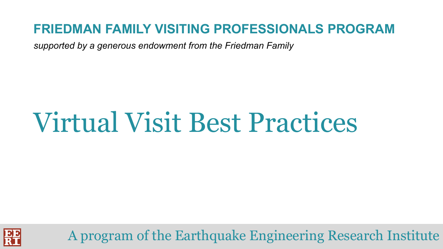#### **FRIEDMAN FAMILY VISITING PROFESSIONALS PROGRAM**

*supported by a generous endowment from the Friedman Family*

# Virtual Visit Best Practices



A program of the Earthquake Engineering Research Institute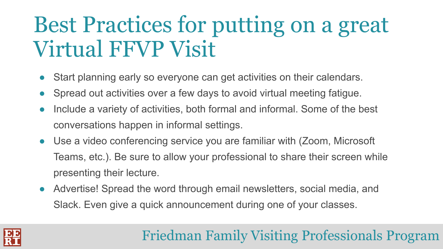### Best Practices for putting on a great Virtual FFVP Visit

- Start planning early so everyone can get activities on their calendars.
- **●** Spread out activities over a few days to avoid virtual meeting fatigue.
- **●** Include a variety of activities, both formal and informal. Some of the best conversations happen in informal settings.
- **●** Use a video conferencing service you are familiar with (Zoom, Microsoft Teams, etc.). Be sure to allow your professional to share their screen while presenting their lecture.
- **●** Advertise! Spread the word through email newsletters, social media, and Slack. Even give a quick announcement during one of your classes.

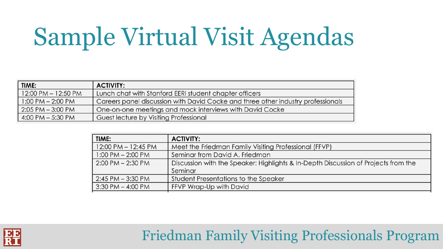# Sample Virtual Visit Agendas

| TIME:                 | <b>ACTIVITY:</b>                                                                 |
|-----------------------|----------------------------------------------------------------------------------|
| 12:00 PM - 12:50 PM   | Lunch chat with Stanford EERI student chapter officers                           |
| $1:00$ PM $- 2:00$ PM | Careers panel discussion with David Cocke and three other industry professionals |
| $2:05$ PM $-3:00$ PM  | One-on-one meetings and mock interviews with David Cocke                         |
| 4:00 PM $-$ 5:30 PM   | Guest lecture by Visiting Professional                                           |

| TIME:                 | <b>ACTIVITY:</b>                                                                   |
|-----------------------|------------------------------------------------------------------------------------|
| 12:00 PM - 12:45 PM   | Meet the Friedman Family Visiting Professional (FFVP)                              |
| $1:00$ PM $- 2:00$ PM | Seminar from David A. Friedman                                                     |
| $2:00$ PM $- 2:30$ PM | Discussion with the Speaker: Highlights & In-Depth Discussion of Projects from the |
|                       | Seminar                                                                            |
| $2:45$ PM $-3:30$ PM  | Student Presentations to the Speaker                                               |
| $3:30$ PM $-$ 4:00 PM | FFVP Wrap-Up with David                                                            |
|                       |                                                                                    |

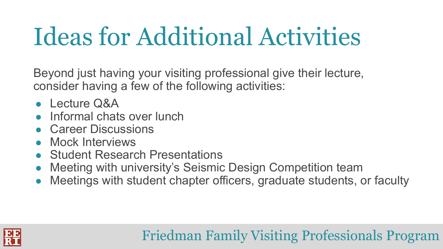## Ideas for Additional Activities

Beyond just having your visiting professional give their lecture, consider having a few of the following activities:

- **●** Lecture Q&A
- **Informal chats over lunch**
- **●** Career Discussions
- **●** Mock Interviews
- **●** Student Research Presentations
- **●** Meeting with university's Seismic Design Competition team
- Meetings with student chapter officers, graduate students, or faculty